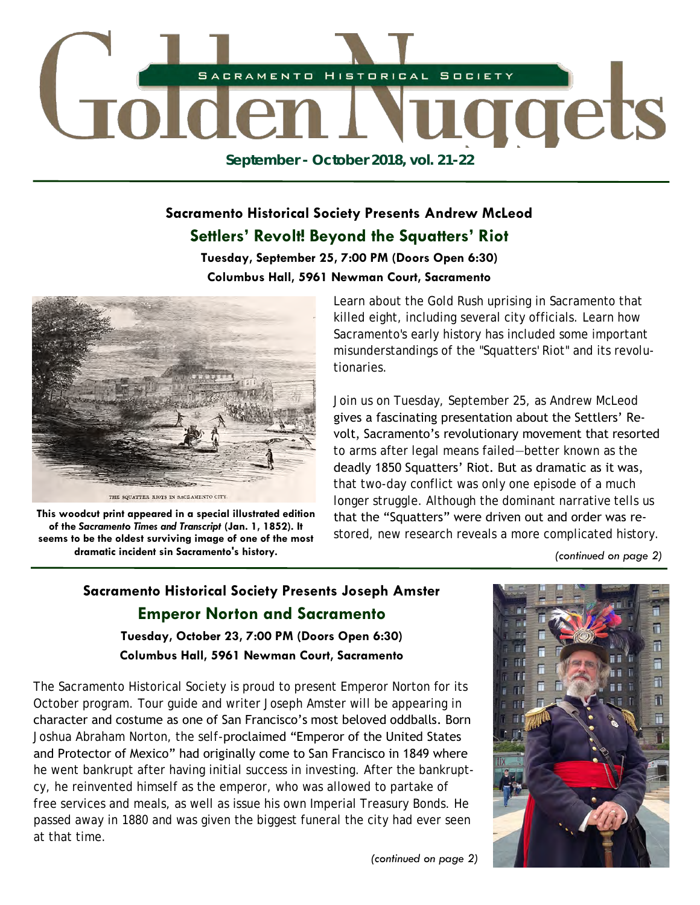

## **Sacramento Historical Society Presents Andrew McLeod Settlers' Revolt! Beyond the Squatters' Riot**

#### **Tuesday, September 25, 7:00 PM (Doors Open 6:30) Columbus Hall, 5961 Newman Court, Sacramento**



**This woodcut print appeared in a special illustrated edition of the** *Sacramento Times and Transcript* **(Jan. 1, 1852). It seems to be the oldest surviving image of one of the most dramatic incident sin Sacramento's history.** 

Learn about the Gold Rush uprising in Sacramento that killed eight, including several city officials. Learn how Sacramento's early history has included some important misunderstandings of the "Squatters' Riot" and its revolutionaries.

Join us on Tuesday, September 25, as Andrew McLeod gives a fascinating presentation about the Settlers' Revolt, Sacramento's revolutionary movement that resorted to arms after legal means failed—better known as the deadly 1850 Squatters' Riot. But as dramatic as it was, that two-day conflict was only one episode of a much longer struggle. Although the dominant narrative tells us that the "Squatters" were driven out and order was restored, new research reveals a more complicated history.

*(continued on page 2)* 

## **Sacramento Historical Society Presents Joseph Amster Emperor Norton and Sacramento Tuesday, October 23, 7:00 PM (Doors Open 6:30) Columbus Hall, 5961 Newman Court, Sacramento**

The Sacramento Historical Society is proud to present Emperor Norton for its October program. Tour guide and writer Joseph Amster will be appearing in character and costume as one of San Francisco's most beloved oddballs. Born Joshua Abraham Norton, the self-proclaimed "Emperor of the United States and Protector of Mexico" had originally come to San Francisco in 1849 where he went bankrupt after having initial success in investing. After the bankruptcy, he reinvented himself as the emperor, who was allowed to partake of free services and meals, as well as issue his own Imperial Treasury Bonds. He passed away in 1880 and was given the biggest funeral the city had ever seen at that time.



*(continued on page 2)*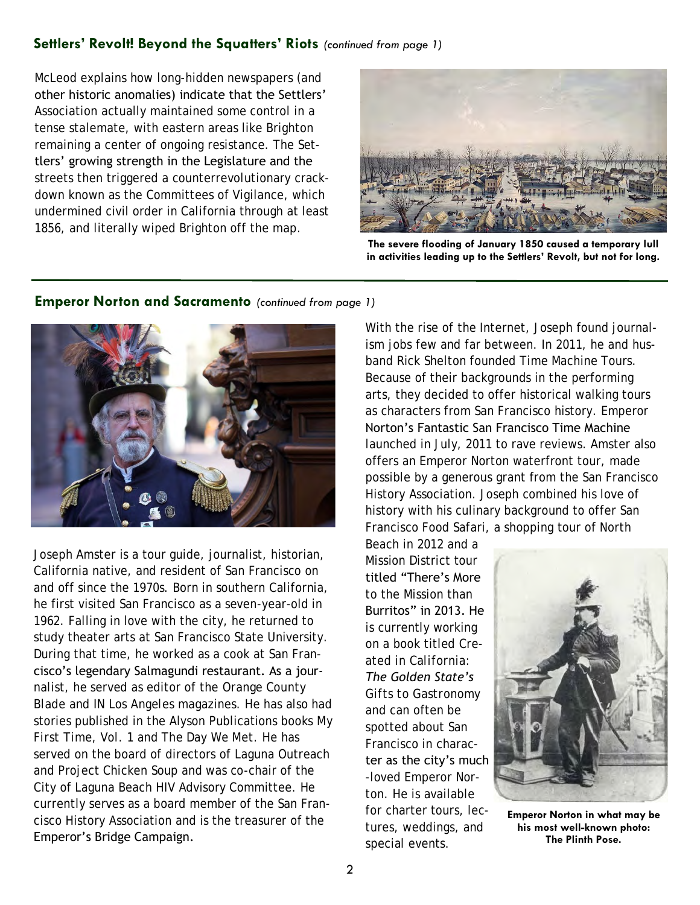#### **Settlers' Revolt! Beyond the Squatters' Riots** *(continued from page 1)*

McLeod explains how long-hidden newspapers (and other historic anomalies) indicate that the Settlers' Association actually maintained some control in a tense stalemate, with eastern areas like Brighton remaining a center of ongoing resistance. The Settlers' growing strength in the Legislature and the streets then triggered a counterrevolutionary crackdown known as the Committees of Vigilance, which undermined civil order in California through at least 1856, and literally wiped Brighton off the map.



**The severe flooding of January 1850 caused a temporary lull in activities leading up to the Settlers' Revolt, but not for long.**



#### Joseph Amster is a tour guide, journalist, historian, California native, and resident of San Francisco on and off since the 1970s. Born in southern California, he first visited San Francisco as a seven-year-old in 1962. Falling in love with the city, he returned to study theater arts at San Francisco State University. During that time, he worked as a cook at San Francisco's legendary Salmagundi restaurant. As a journalist, he served as editor of the *Orange County Blade* and *IN Los Angeles* magazines. He has also had stories published in the Alyson Publications books *My First Time, Vol. 1* and *The Day We Met.* He has served on the board of directors of Laguna Outreach and Project Chicken Soup and was co-chair of the City of Laguna Beach HIV Advisory Committee. He currently serves as a board member of the San Francisco History Association and is the treasurer of the Emperor's Bridge Campaign.

With the rise of the Internet, Joseph found journalism jobs few and far between. In 2011, he and husband Rick Shelton founded Time Machine Tours. Because of their backgrounds in the performing arts, they decided to offer historical walking tours as characters from San Francisco history. Emperor Norton's Fantastic San Francisco Time Machine launched in July, 2011 to rave reviews. Amster also offers an Emperor Norton waterfront tour, made possible by a generous grant from the San Francisco History Association. Joseph combined his love of history with his culinary background to offer San Francisco Food Safari, a shopping tour of North

Beach in 2012 and a Mission District tour titled "There's More to the Mission than Burritos" in 2013. He is currently working on a book titled *Created in California: The Golden State's Gifts to Gastronomy* and can often be spotted about San Francisco in character as the city's much -loved Emperor Norton. He is available for charter tours, lectures, weddings, and special events.



**Emperor Norton in what may be his most well-known photo: The Plinth Pose.**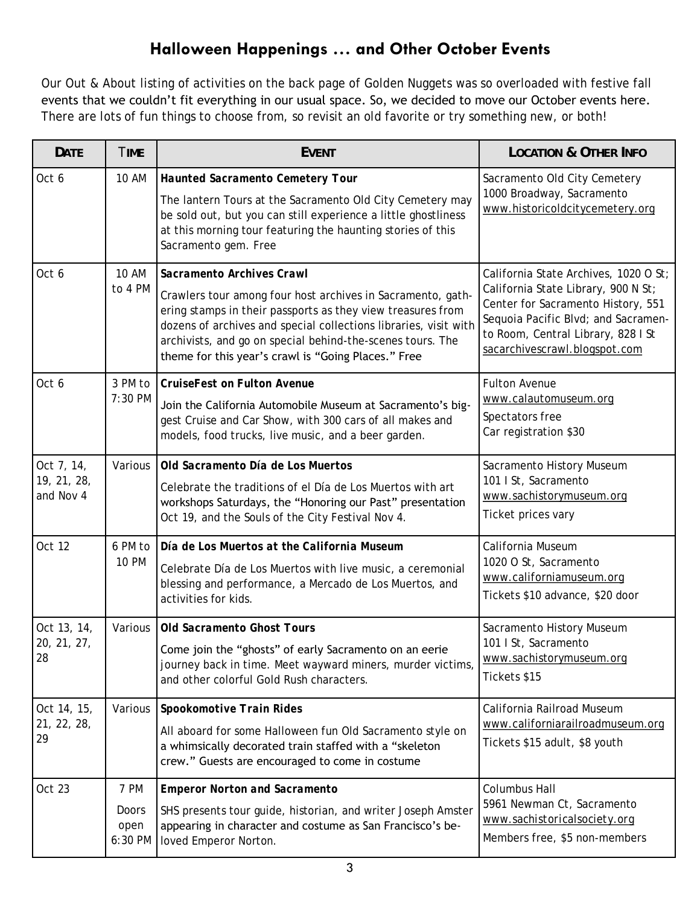## **Halloween Happenings … and Other October Events**

Our *Out & About* listing of activities on the back page of Golden Nuggets was so overloaded with festive fall events that we couldn't fit everything in our usual space. So, we decided to move our October events here. There are lots of fun things to choose from, so revisit an old favorite or try something new, or both!

| DATE                                   | <b>TIME</b>                      | <b>EVENT</b>                                                                                                                                                                                                                                                                                                                                     | <b>LOCATION &amp; OTHER INFO</b>                                                                                                                                                                                                 |
|----------------------------------------|----------------------------------|--------------------------------------------------------------------------------------------------------------------------------------------------------------------------------------------------------------------------------------------------------------------------------------------------------------------------------------------------|----------------------------------------------------------------------------------------------------------------------------------------------------------------------------------------------------------------------------------|
| Oct 6                                  | 10 AM                            | Haunted Sacramento Cemetery Tour<br>The lantern Tours at the Sacramento Old City Cemetery may<br>be sold out, but you can still experience a little ghostliness<br>at this morning tour featuring the haunting stories of this<br>Sacramento gem. Free                                                                                           | Sacramento Old City Cemetery<br>1000 Broadway, Sacramento<br>www.historicoldcitycemetery.org                                                                                                                                     |
| Oct 6                                  | <b>10 AM</b><br>to 4 PM          | Sacramento Archives Crawl<br>Crawlers tour among four host archives in Sacramento, gath-<br>ering stamps in their passports as they view treasures from<br>dozens of archives and special collections libraries, visit with<br>archivists, and go on special behind-the-scenes tours. The<br>theme for this year's crawl is "Going Places." Free | California State Archives, 1020 O St;<br>California State Library, 900 N St;<br>Center for Sacramento History, 551<br>Sequoia Pacific Blvd; and Sacramen-<br>to Room, Central Library, 828 I St<br>sacarchivescrawl.blogspot.com |
| Oct 6                                  | 3 PM to<br>7:30 PM               | CruiseFest on Fulton Avenue<br>Join the California Automobile Museum at Sacramento's big-<br>gest Cruise and Car Show, with 300 cars of all makes and<br>models, food trucks, live music, and a beer garden.                                                                                                                                     | Fulton Avenue<br>www.calautomuseum.org<br>Spectators free<br>Car registration \$30                                                                                                                                               |
| Oct 7, 14,<br>19, 21, 28,<br>and Nov 4 | Various                          | Old Sacramento Día de Los Muertos<br>Celebrate the traditions of el Día de Los Muertos with art<br>workshops Saturdays, the "Honoring our Past" presentation<br>Oct 19, and the Souls of the City Festival Nov 4.                                                                                                                                | Sacramento History Museum<br>101   St, Sacramento<br>www.sachistorymuseum.org<br>Ticket prices vary                                                                                                                              |
| Oct 12                                 | 6 PM to<br><b>10 PM</b>          | Día de Los Muertos at the California Museum<br>Celebrate Día de Los Muertos with live music, a ceremonial<br>blessing and performance, a Mercado de Los Muertos, and<br>activities for kids.                                                                                                                                                     | California Museum<br>1020 O St, Sacramento<br>www.californiamuseum.org<br>Tickets \$10 advance, \$20 door                                                                                                                        |
| Oct 13, 14,<br>20, 21, 27,<br>28       | Various                          | Old Sacramento Ghost Tours<br>Come join the "ghosts" of early Sacramento on an eerie<br>journey back in time. Meet wayward miners, murder victims,<br>and other colorful Gold Rush characters.                                                                                                                                                   | Sacramento History Museum<br>101   St, Sacramento<br>www.sachistorymuseum.org<br>Tickets \$15                                                                                                                                    |
| Oct 14, 15,<br>21, 22, 28,<br>29       | Various                          | Spookomotive Train Rides<br>All aboard for some Halloween fun Old Sacramento style on<br>a whimsically decorated train staffed with a "skeleton<br>crew." Guests are encouraged to come in costume                                                                                                                                               | California Railroad Museum<br>www.californiarailroadmuseum.org<br>Tickets \$15 adult, \$8 youth                                                                                                                                  |
| Oct 23                                 | 7 PM<br>Doors<br>open<br>6:30 PM | <b>Emperor Norton and Sacramento</b><br>SHS presents tour guide, historian, and writer Joseph Amster<br>appearing in character and costume as San Francisco's be-<br>loved Emperor Norton.                                                                                                                                                       | Columbus Hall<br>5961 Newman Ct, Sacramento<br>www.sachistoricalsociety.org<br>Members free, \$5 non-members                                                                                                                     |